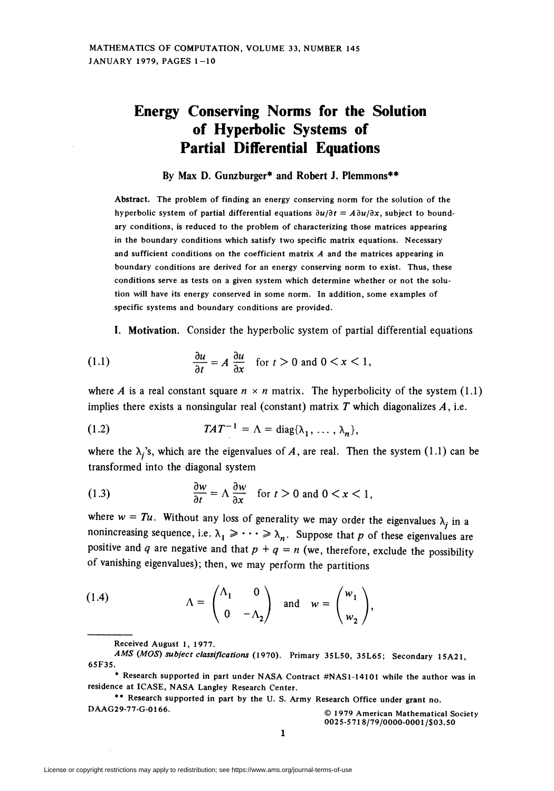## Energy Conserving Norms for the Solution of Hyperbolic Systems of Partial Differential Equations

By Max D. Gunzburger\* and Robert J. Plemmons\*\*

Abstract. The problem of finding an energy conserving norm for the solution of the hyperbolic system of partial differential equations  $\partial u/\partial t = A \partial u/\partial x$ , subject to boundary conditions, is reduced to the problem of characterizing those matrices appearing in the boundary conditions which satisfy two specific matrix equations. Necessary and sufficient conditions on the coefficient matrix  $A$  and the matrices appearing in boundary conditions are derived for an energy conserving norm to exist. Thus, these conditions serve as tests on a given system which determine whether or not the solution will have its energy conserved in some norm. In addition, some examples of specific systems and boundary conditions are provided.

I. Motivation. Consider the hyperbolic system of partial differential equations

(1.1) 
$$
\frac{\partial u}{\partial t} = A \frac{\partial u}{\partial x} \quad \text{for } t > 0 \text{ and } 0 < x < 1,
$$

where A is a real constant square  $n \times n$  matrix. The hyperbolicity of the system (1.1) implies there exists a nonsingular real (constant) matrix  $T$  which diagonalizes  $A$ , i.e.

(1.2) 
$$
TAT^{-1} = \Lambda = \text{diag}\{\lambda_1, \ldots, \lambda_n\},
$$

where the  $\lambda_i$ 's, which are the eigenvalues of A, are real. Then the system (1.1) can be transformed into the diagonal system

(1.3) 
$$
\frac{\partial w}{\partial t} = \Lambda \frac{\partial w}{\partial x} \quad \text{for } t > 0 \text{ and } 0 < x < 1,
$$

where  $w = Tu$ . Without any loss of generality we may order the eigenvalues  $\lambda_j$  in a nonincreasing sequence, i.e.  $\lambda_1 \geqslant \cdots \geqslant \lambda_n$ . Suppose that p of these eigenvalues are positive and q are negative and that  $p + q = n$  (we, therefore, exclude the possibility of vanishing eigenvalues); then, we may perform the partitions

(1.4) 
$$
\Lambda = \begin{pmatrix} \Lambda_1 & 0 \\ 0 & -\Lambda_2 \end{pmatrix} \text{ and } w = \begin{pmatrix} w_1 \\ w_2 \end{pmatrix},
$$

Received August 1, 1977.

AMS (MOS) subject classifications (1970). Primary 35L50, 3SL65; Secondary 1SA21, 65F3S.

<sup>\*</sup> Research supported in part under NASA Contract #NAS1-14101 while the author was in residence at ICASE, NASA Langley Research Center.

<sup>\*\*</sup> Research supported in part by the U.S. Army Research Office under grant no. DAAG29-77-G-0166. **DAAG29-77-G-0166. CONFIDENTIAL CONFIDENTIAL CONFIDENT** @ 1979 American Mathematical Society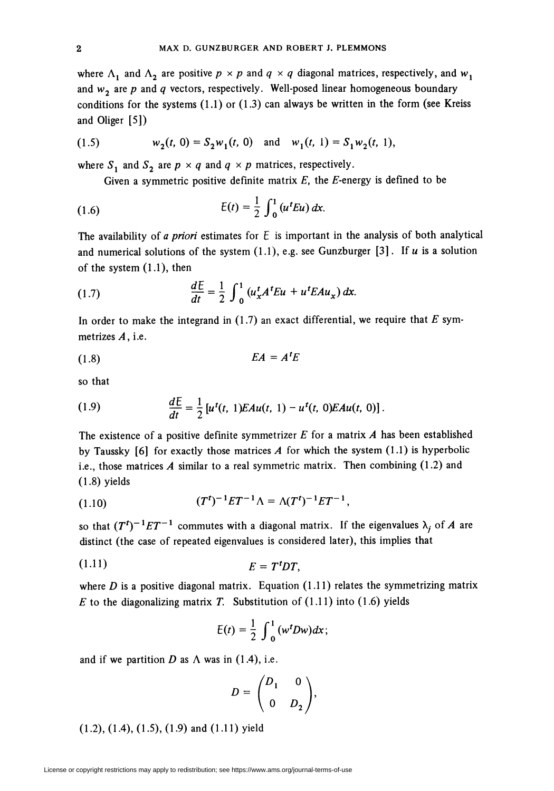where  $\Lambda_1$  and  $\Lambda_2$  are positive  $p \times p$  and  $q \times q$  diagonal matrices, respectively, and  $w_1$ and  $w_2$  are p and q vectors, respectively. Well-posed linear homogeneous boundary conditions for the systems  $(1.1)$  or  $(1.3)$  can always be written in the form (see Kreiss and Öliger [5])

(1.5) 
$$
w_2(t, 0) = S_2 w_1(t, 0) \text{ and } w_1(t, 1) = S_1 w_2(t, 1),
$$

where  $S_1$  and  $S_2$  are  $p \times q$  and  $q \times p$  matrices, respectively.

Given a symmetric positive definite matrix  $E$ , the  $E$ -energy is defined to be

(1.6) 
$$
E(t) = \frac{1}{2} \int_0^1 (u^t E u) dx.
$$

The availability of a priori estimates for  $E$  is important in the analysis of both analytical and numerical solutions of the system  $(1.1)$ , e.g. see Gunzburger [3]. If u is a solution of the system (1.1), then

(1.7) 
$$
\frac{dE}{dt} = \frac{1}{2} \int_0^1 (u_x^t A^t E u + u^t E A u_x) dx.
$$

In order to make the integrand in  $(1.7)$  an exact differential, we require that E symmetrizes A, i.e.

$$
(1.8) \t\t\t EA = At L
$$

so that

(1.9) 
$$
\frac{dE}{dt} = \frac{1}{2} \left[ u^t(t, 1) E A u(t, 1) - u^t(t, 0) E A u(t, 0) \right].
$$

The existence of a positive definite symmetrizer  $E$  for a matrix  $A$  has been established by Taussky  $[6]$  for exactly those matrices A for which the system  $(1.1)$  is hyperbolic i.e., those matrices A similar to a real symmetric matrix. Then combining  $(1.2)$  and (1.8) yields

(1.10) 
$$
(T^{t})^{-1}ET^{-1}\Lambda = \Lambda(T^{t})^{-1}ET^{-1},
$$

so that  $(T^{t})^{-1}ET^{-1}$  commutes with a diagonal matrix. If the eigenvalues  $\lambda_j$  of A are distinct (the case of repeated eigenvalues is considered later), this implies that

$$
(1.11) \t\t\t\t E = TtDT,
$$

where  $D$  is a positive diagonal matrix. Equation (1.11) relates the symmetrizing matrix E to the diagonalizing matrix T. Substitution of  $(1.11)$  into  $(1.6)$  yields

$$
E(t)=\frac{1}{2}\int_0^1(w^tDw)dx;
$$

and if we partition D as  $\Lambda$  was in (1.4), i.e.

$$
D = \begin{pmatrix} D_1 & 0 \\ 0 & D_2 \end{pmatrix},
$$

(1.2), (1.4), (1.5), (1.9) and (1.11) yield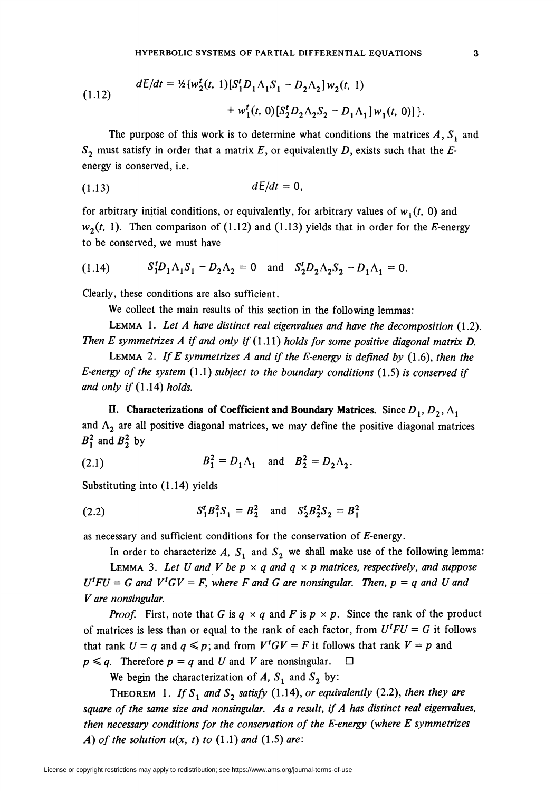(1.12) 
$$
dE/dt = \frac{1}{2} \{ w_2^t(t, 1) [S_1^t D_1 \Lambda_1 S_1 - D_2 \Lambda_2] w_2(t, 1) + w_1^t(t, 0) [S_2^t D_2 \Lambda_2 S_2 - D_1 \Lambda_1] w_1(t, 0) ] \}.
$$

The purpose of this work is to determine what conditions the matrices  $A, S<sub>1</sub>$  and  $S_2$  must satisfy in order that a matrix E, or equivalently D, exists such that the Eenergy is conserved, i.e.

$$
(1.13) \t dE/dt = 0,
$$

for arbitrary initial conditions, or equivalently, for arbitrary values of  $w_1(t, 0)$  and  $w_2(t, 1)$ . Then comparison of (1.12) and (1.13) yields that in order for the E-energy to be conserved, we must have

(1.14) 
$$
S_1^t D_1 \Lambda_1 S_1 - D_2 \Lambda_2 = 0
$$
 and  $S_2^t D_2 \Lambda_2 S_2 - D_1 \Lambda_1 = 0$ .

Clearly, these conditions are also sufficient.

We collect the main results of this section in the following lemmas:

LEMMA 1. Let A have distinct real eigenvalues and have the decomposition  $(1.2)$ . Then E symmetrizes A if and only if  $(1.11)$  holds for some positive diagonal matrix D.

LEMMA 2. If E symmetrizes A and if the E-energy is defined by  $(1.6)$ , then the E-energy of the system  $(1.1)$  subject to the boundary conditions  $(1.5)$  is conserved if and only if  $(1.14)$  holds.

II. Characterizations of Coefficient and Boundary Matrices. Since  $D_1, D_2, \Lambda_1$ and  $\Lambda_2$  are all positive diagonal matrices, we may define the positive diagonal matrices  $B_1^2$  and  $B_2^2$  by

(2.1) 
$$
B_1^2 = D_1 \Lambda_1 \text{ and } B_2^2 = D_2 \Lambda_2.
$$

Substituting into (1.14) yields

(2.2) 
$$
S_1^t B_1^2 S_1 = B_2^2
$$
 and  $S_2^t B_2^2 S_2 = B_1^2$ 

as necessary and sufficient conditions for the conservation of  $E$ -energy.

In order to characterize A,  $S_1$  and  $S_2$  we shall make use of the following lemma: LEMMA 3. Let U and V be  $p \times q$  and  $q \times p$  matrices, respectively, and suppose  $U^tFU = G$  and  $V^tGV = F$ , where F and G are nonsingular. Then,  $p = q$  and U and V are nonsingular.

**Proof.** First, note that G is  $q \times q$  and F is  $p \times p$ . Since the rank of the product of matrices is less than or equal to the rank of each factor, from  $U^t F U = G$  it follows that rank  $U = q$  and  $q \leq p$ ; and from  $V^{\dagger} G V = F$  it follows that rank  $V = p$  and  $p \leq q$ . Therefore  $p = q$  and U and V are nonsingular.  $\Box$ 

We begin the characterization of A,  $S_1$  and  $S_2$  by:

THEOREM 1. If  $S_1$  and  $S_2$  satisfy (1.14), or equivalently (2.2), then they are square of the same size and nonsingular. As a result, if A has distinct real eigenvalues, then necessary conditions for the conservation of the E-energy (where E symmetrizes A) of the solution  $u(x, t)$  to  $(1.1)$  and  $(1.5)$  are: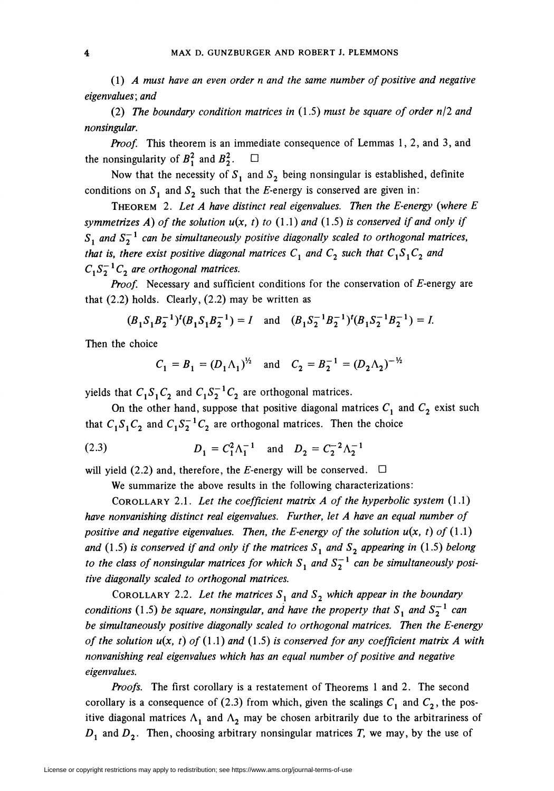(1) A must have an even order n and the same number of positive and negative eigenvalues; and

(2) The boundary condition matrices in  $(1.5)$  must be square of order n/2 and nonsingular.

*Proof.* This theorem is an immediate consequence of Lemmas 1, 2, and 3, and the nonsingularity of  $B_1^2$  and  $B_2^2$ .  $\Box$ 

Now that the necessity of  $S_1$  and  $S_2$  being nonsingular is established, definite conditions on  $S_1$  and  $S_2$  such that the E-energy is conserved are given in:

THEOREM 2. Let  $A$  have distinct real eigenvalues. Then the E-energy (where  $E$ symmetrizes A) of the solution  $u(x, t)$  to (1.1) and (1.5) is conserved if and only if  $S_1$  and  $S_2^{-1}$  can be simultaneously positive diagonally scaled to orthogonal matrices, that is, there exist positive diagonal matrices  $C_1$  and  $C_2$  such that  $C_1S_1C_2$  and  $C_1S_2^{-1}C_2$  are orthogonal matrices.

**Proof.** Necessary and sufficient conditions for the conservation of  $E$ -energy are that  $(2.2)$  holds. Clearly,  $(2.2)$  may be written as

$$
(B_1S_1B_2^{-1})^t(B_1S_1B_2^{-1}) = I
$$
 and  $(B_1S_2^{-1}B_2^{-1})^t(B_1S_2^{-1}B_2^{-1}) = I$ .

Then the choice

$$
C_1 = B_1 = (D_1 \Lambda_1)^{\frac{1}{2}}
$$
 and  $C_2 = B_2^{-1} = (D_2 \Lambda_2)^{-\frac{1}{2}}$ 

yields that  $C_1S_1C_2$  and  $C_1S_2^{-1}C_2$  are orthogonal matrices.

On the other hand, suppose that positive diagonal matrices  $C_1$  and  $C_2$  exist such that  $C_1S_1C_2$  and  $C_1S_2^{-1}C_2$  are orthogonal matrices. Then the choice

(2.3) 
$$
D_1 = C_1^2 \Lambda_1^{-1} \text{ and } D_2 = C_2^{-2} \Lambda_2^{-1}
$$

will yield (2.2) and, therefore, the E-energy will be conserved.  $\Box$ 

We summarize the above results in the following characterizations:

COROLLARY 2.1. Let the coefficient matrix A of the hyperbolic system  $(1.1)$ have nonvanishing distinct real eigenvalues. Further, let A have an equal number of positive and negative eigenvalues. Then, the E-energy of the solution  $u(x, t)$  of  $(1.1)$ and (1.5) is conserved if and only if the matrices  $S_1$  and  $S_2$  appearing in (1.5) belong to the class of nonsingular matrices for which  $S_1$  and  $S_2^{-1}$  can be simultaneously positive diagonally scaled to orthogonal matrices.

COROLLARY 2.2. Let the matrices  $S_1$  and  $S_2$  which appear in the boundary conditions (1.5) be square, nonsingular, and have the property that  $S_1$  and  $S_2^{-1}$  can be simultaneously positive diagonally scaled to orthogonal matrices. Then the E-energy of the solution  $u(x, t)$  of (1.1) and (1.5) is conserved for any coefficient matrix A with nonvanishing real eigenvalues which has an equal number of positive and negative eigenvalues.

Proofs. The first corollary is a restatement of Theorems 1 and 2. The second corollary is a consequence of (2.3) from which, given the scalings  $C_1$  and  $C_2$ , the positive diagonal matrices  $\Lambda_1$  and  $\Lambda_2$  may be chosen arbitrarily due to the arbitrariness of  $D_1$  and  $D_2$ . Then, choosing arbitrary nonsingular matrices T, we may, by the use of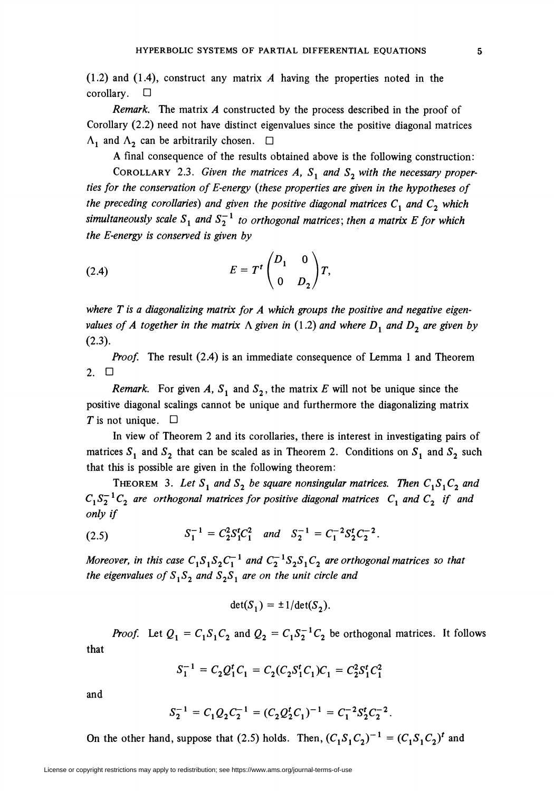(1.2) and (1.4), construct any matrix  $A$  having the properties noted in the corollary. □

Remark. The matrix A constructed by the process described in the proof of Corollary (2.2) need not have distinct eigenvalues since the positive diagonal matrices  $\Lambda_1$  and  $\Lambda_2$  can be arbitrarily chosen.  $\square$ 

A final consequence of the results obtained above is the following construction:

COROLLARY 2.3. Given the matrices A,  $S_1$  and  $S_2$  with the necessary properties for the conservation of E-energy (these properties are given in the hypotheses of the preceding corollaries) and given the positive diagonal matrices  $C_1$  and  $C_2$  which simultaneously scale  $S_1$  and  $S_2^{-1}$  to orthogonal matrices; then a matrix E for which the E-energy is conserved is given by

$$
(2.4) \t\t\t\t E = Tt \begin{pmatrix} D_1 & 0 \\ 0 & D_2 \end{pmatrix} T,
$$

where  $T$  is a diagonalizing matrix for  $A$  which groups the positive and negative eigenvalues of A together in the matrix  $\Lambda$  given in (1.2) and where  $D_1$  and  $D_2$  are given by  $(2.3).$ 

Proof. The result (2.4) is an immediate consequence of Lemma 1 and Theorem 2. D

Remark. For given A,  $S_1$  and  $S_2$ , the matrix E will not be unique since the positive diagonal scalings cannot be unique and furthermore the diagonalizing matrix T is not unique.  $\Box$ 

In view of Theorem 2 and its corollaries, there is interest in investigating pairs of matrices  $S_1$  and  $S_2$  that can be scaled as in Theorem 2. Conditions on  $S_1$  and  $S_2$  such that this is possible are given in the following theorem:

THEOREM 3. Let  $S_1$  and  $S_2$  be square nonsingular matrices. Then  $C_1S_1C_2$  and  $C_1S_2^{-1}C_2$  are orthogonal matrices for positive diagonal matrices  $C_1$  and  $C_2$  if and only if

(2.5) 
$$
S_1^{-1} = C_2^2 S_1^t C_1^2 \quad and \quad S_2^{-1} = C_1^{-2} S_2^t C_2^{-2}.
$$

Moreover, in this case  $C_1S_1S_2C_1^{-1}$  and  $C_2^{-1}S_2S_1C_2$  are orthogonal matrices so that the eigenvalues of  $S_1S_2$  and  $S_2S_1$  are on the unit circle and

$$
\det(S_1) = \pm 1/\det(S_2).
$$

*Proof.* Let  $Q_1 = C_1S_1C_2$  and  $Q_2 = C_1S_2^{-1}C_2$  be orthogonal matrices. It follows that

$$
S_1^{-1} = C_2 Q_1^t C_1 = C_2 (C_2 S_1^t C_1) C_1 = C_2^2 S_1^t C_1^2
$$

and

$$
S_2^{-1} = C_1 Q_2 C_2^{-1} = (C_2 Q_2^t C_1)^{-1} = C_1^{-2} S_2^t C_2^{-2}
$$

On the other hand, suppose that (2.5) holds. Then,  $(C_1S_1C_2)^{-1} = (C_1S_1C_2)^t$  and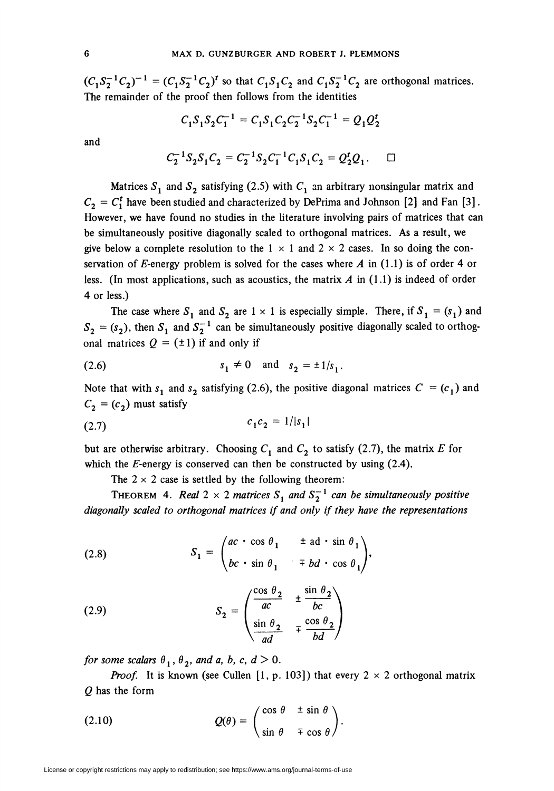$(C_1S_2^{-1}C_2)^{-1} = (C_1S_2^{-1}C_2)^t$  so that  $C_1S_1C_2$  and  $C_1S_2^{-1}C_2$  are orthogonal matrices. The remainder of the proof then follows from the identities

$$
C_1 S_1 S_2 C_1^{-1} = C_1 S_1 C_2 C_2^{-1} S_2 C_1^{-1} = Q_1 Q_2^t
$$

and

$$
C_2^{-1}S_2S_1C_2 = C_2^{-1}S_2C_1^{-1}C_1S_1C_2 = Q_2^tQ_1.
$$

Matrices  $S_1$  and  $S_2$  satisfying (2.5) with  $C_1$  an arbitrary nonsingular matrix and  $C_2 = C_1^t$  have been studied and characterized by DePrima and Johnson [2] and Fan [3]. However, we have found no studies in the literature involving pairs of matrices that can be simultaneously positive diagonally scaled to orthogonal matrices. As a result, we give below a complete resolution to the  $1 \times 1$  and  $2 \times 2$  cases. In so doing the conservation of E-energy problem is solved for the cases where A in  $(1.1)$  is of order 4 or less. (In most applications, such as acoustics, the matrix  $\vec{A}$  in (1.1) is indeed of order 4 or less.)

The case where  $S_1$  and  $S_2$  are  $1 \times 1$  is especially simple. There, if  $S_1 = (s_1)$  and  $S_2 = (s_2)$ , then  $S_1$  and  $S_2^{-1}$  can be simultaneously positive diagonally scaled to orthogonal matrices  $Q = (\pm 1)$  if and only if

(2.6) 
$$
s_1 \neq 0
$$
 and  $s_2 = \pm 1/s_1$ .

Note that with  $s_1$  and  $s_2$  satisfying (2.6), the positive diagonal matrices  $C = (c_1)$  and  $C_2 = (c_2)$  must satisfy

$$
c_1 c_2 = 1/|s_1|
$$

but are otherwise arbitrary. Choosing  $C_1$  and  $C_2$  to satisfy (2.7), the matrix E for which the  $E$ -energy is conserved can then be constructed by using (2.4).

The  $2 \times 2$  case is settled by the following theorem:

THEOREM 4. Real  $2 \times 2$  matrices  $S_1$  and  $S_2^{-1}$  can be simultaneously positive diagonally scaled to orthogonal matrices if and only if they have the representations

(2.8) 
$$
S_1 = \begin{pmatrix} ac & c \cos \theta_1 & \pm ad \cdot \sin \theta_1 \\ bc & \sin \theta_1 & \mp bd \cdot \cos \theta_1 \end{pmatrix},
$$

(2.9) 
$$
S_2 = \begin{pmatrix} \frac{\cos \theta_2}{ac} & \pm \frac{\sin \theta_2}{bc} \\ \frac{\sin \theta_2}{ad} & \mp \frac{\cos \theta_2}{bd} \end{pmatrix}
$$

for some scalars  $\theta_1$ ,  $\theta_2$ , and a, b, c,  $d > 0$ .

**Proof.** It is known (see Cullen [1, p. 103]) that every  $2 \times 2$  orthogonal matrix Q has the form

(2.10) 
$$
Q(\theta) = \begin{pmatrix} \cos \theta & \pm \sin \theta \\ \sin \theta & \mp \cos \theta \end{pmatrix}.
$$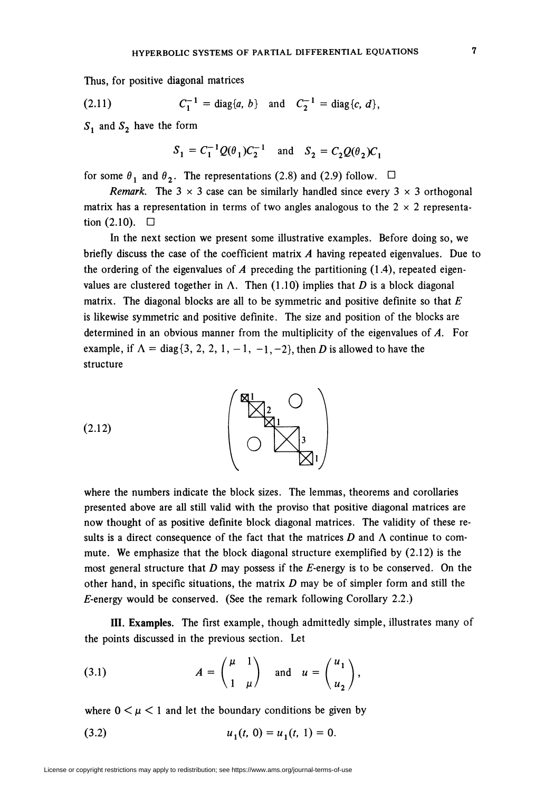Thus, for positive diagonal matrices

(2.11) 
$$
C_1^{-1} = \text{diag}\{a, b\}
$$
 and  $C_2^{-1} = \text{diag}\{c, d\}$ ,

 $S_1$  and  $S_2$  have the form

$$
S_1 = C_1^{-1} Q(\theta_1) C_2^{-1}
$$
 and  $S_2 = C_2 Q(\theta_2) C_1$ 

for some  $\theta_1$  and  $\theta_2$ . The representations (2.8) and (2.9) follow.  $\Box$ 

*Remark.* The 3  $\times$  3 case can be similarly handled since every 3  $\times$  3 orthogonal matrix has a representation in terms of two angles analogous to the  $2 \times 2$  representation  $(2.10)$ .  $\Box$ 

In the next section we present some illustrative examples. Before doing so, we briefly discuss the case of the coefficient matrix  $A$  having repeated eigenvalues. Due to the ordering of the eigenvalues of  $A$  preceding the partitioning (1.4), repeated eigenvalues are clustered together in  $\Lambda$ . Then (1.10) implies that D is a block diagonal matrix. The diagonal blocks are all to be symmetric and positive definite so that  $E$ is likewise symmetric and positive definite. The size and position of the blocks are determined in an obvious manner from the multiplicity of the eigenvalues of A. For example, if  $\Lambda = \text{diag}\{3, 2, 2, 1, -1, -1, -2\}$ , then D is allowed to have the structure



where the numbers indicate the block sizes. The lemmas, theorems and corollaries presented above are all still valid with the proviso that positive diagonal matrices are now thought of as positive definite block diagonal matrices. The validity of these results is a direct consequence of the fact that the matrices  $D$  and  $\Lambda$  continue to commute. We emphasize that the block diagonal structure exemplified by (2.12) is the most general structure that  $D$  may possess if the  $E$ -energy is to be conserved. On the other hand, in specific situations, the matrix  $D$  may be of simpler form and still the  $E$ -energy would be conserved. (See the remark following Corollary 2.2.)

III. Examples. The first example, though admittedly simple, illustrates many of the points discussed in the previous section. Let

(3.1) 
$$
A = \begin{pmatrix} \mu & 1 \\ 1 & \mu \end{pmatrix} \text{ and } u = \begin{pmatrix} u_1 \\ u_2 \end{pmatrix},
$$

where  $0 \leq \mu \leq 1$  and let the boundary conditions be given by

$$
(3.2) \t\t\t u1(t, 0) = u1(t, 1) = 0.
$$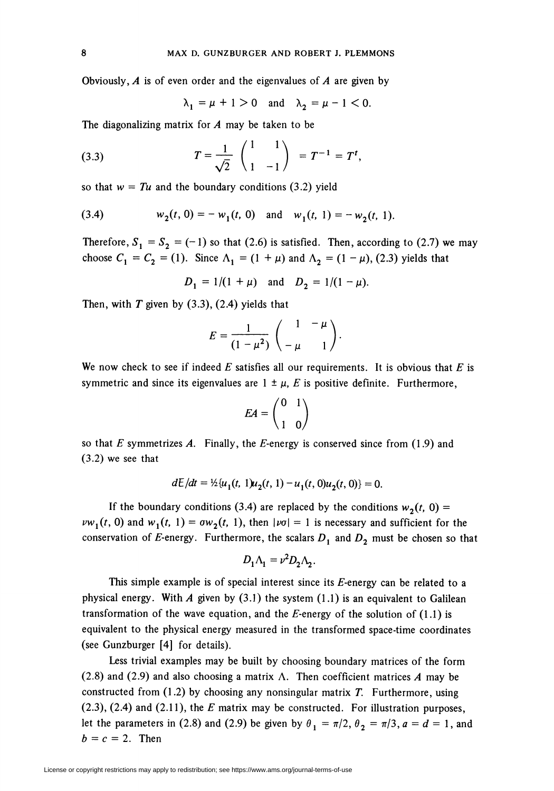Obviously,  $A$  is of even order and the eigenvalues of  $A$  are given by

 $\lambda_1 = \mu + 1 > 0$  and  $\lambda_2 = \mu - 1 < 0$ .

The diagonalizing matrix for  $A$  may be taken to be

(3.3) 
$$
T = \frac{1}{\sqrt{2}} \begin{pmatrix} 1 & 1 \\ 1 & -1 \end{pmatrix} = T^{-1} = T^{t},
$$

so that  $w = Tu$  and the boundary conditions (3.2) yield

(3.4) 
$$
w_2(t, 0) = -w_1(t, 0) \text{ and } w_1(t, 1) = -w_2(t, 1).
$$

Therefore,  $S_1 = S_2 = (-1)$  so that (2.6) is satisfied. Then, according to (2.7) we may choose  $C_1 = C_2 = (1)$ . Since  $\Lambda_1 = (1 + \mu)$  and  $\Lambda_2 = (1 - \mu)$ , (2.3) yields that

$$
D_1 = 1/(1 + \mu)
$$
 and  $D_2 = 1/(1 - \mu)$ .

Then, with  $T$  given by  $(3.3)$ ,  $(2.4)$  yields that

$$
E=\frac{1}{(1-\mu^2)}\begin{pmatrix}1&-\mu\\-\mu&1\end{pmatrix}.
$$

We now check to see if indeed E satisfies all our requirements. It is obvious that E is symmetric and since its eigenvalues are  $1 \pm \mu$ , E is positive definite. Furthermore,

$$
EA = \begin{pmatrix} 0 & 1 \\ 1 & 0 \end{pmatrix}
$$

so that E symmetrizes A. Finally, the E-energy is conserved since from  $(1.9)$  and (3.2) we see that

$$
dE/dt = \frac{1}{2} \{ u_1(t, 1) u_2(t, 1) - u_1(t, 0) u_2(t, 0) \} = 0.
$$

If the boundary conditions (3.4) are replaced by the conditions  $w_2(t, 0)$  =  $vw_1(t, 0)$  and  $w_1(t, 1) = \sigma w_2(t, 1)$ , then  $|vo| = 1$  is necessary and sufficient for the conservation of E-energy. Furthermore, the scalars  $D_1$  and  $D_2$  must be chosen so that

$$
D_1 \Lambda_1 = v^2 D_2 \Lambda_2.
$$

This simple example is of special interest since its  $E$ -energy can be related to a physical energy. With A given by  $(3.1)$  the system  $(1.1)$  is an equivalent to Galilean transformation of the wave equation, and the  $E$ -energy of the solution of (1.1) is equivalent to the physical energy measured in the transformed space-time coordinates (see Gunzburger [4] for details).

Less trivial examples may be built by choosing boundary matrices of the form (2.8) and (2.9) and also choosing a matrix  $\Lambda$ . Then coefficient matrices A may be constructed from  $(1.2)$  by choosing any nonsingular matrix T. Furthermore, using  $(2.3)$ ,  $(2.4)$  and  $(2.11)$ , the E matrix may be constructed. For illustration purposes, let the parameters in (2.8) and (2.9) be given by  $\theta_1 = \pi/2$ ,  $\theta_2 = \pi/3$ ,  $a = d = 1$ , and  $b = c = 2$ . Then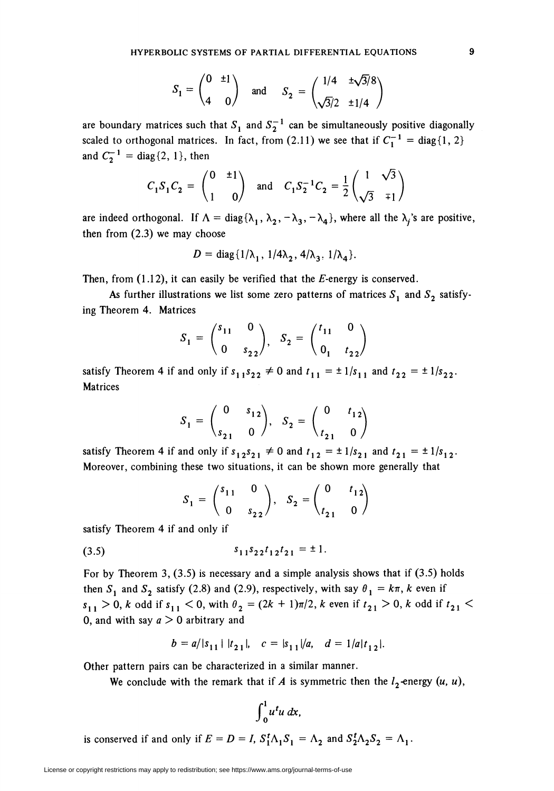$$
S_1 = \begin{pmatrix} 0 & \pm 1 \\ 4 & 0 \end{pmatrix} \quad \text{and} \quad S_2 = \begin{pmatrix} 1/4 & \pm \sqrt{3}/8 \\ \sqrt{3}/2 & \pm 1/4 \end{pmatrix}
$$

are boundary matrices such that  $S_1$  and  $S_2^{-1}$  can be simultaneously positive diagonally scaled to orthogonal matrices. In fact, from (2.11) we see that if  $C_1^{-1} = \text{diag}\{1, 2\}$ and  $C_2^{-1} = diag\{2, 1\}$ , then

$$
C_1S_1C_2 = \begin{pmatrix} 0 & \pm 1 \\ 1 & 0 \end{pmatrix}
$$
 and  $C_1S_2^{-1}C_2 = \frac{1}{2} \begin{pmatrix} 1 & \sqrt{3} \\ \sqrt{3} & \mp 1 \end{pmatrix}$ 

are indeed orthogonal. If  $\Lambda = diag{\lambda_1, \lambda_2, -\lambda_3, -\lambda_4}$ , where all the  $\lambda_i$ 's are positive, then from (2.3) we may choose

$$
D = diag\{1/\lambda_1, 1/4\lambda_2, 4/\lambda_3, 1/\lambda_4\}.
$$

Then, from  $(1.12)$ , it can easily be verified that the *E*-energy is conserved.

As further illustrations we list some zero patterns of matrices  $S_1$  and  $S_2$  satisfying Theorem 4. Matrices

$$
S_1 = \begin{pmatrix} s_{11} & 0 \\ 0 & s_{22} \end{pmatrix}, S_2 = \begin{pmatrix} t_{11} & 0 \\ 0 & t_{22} \end{pmatrix}
$$

satisfy Theorem 4 if and only if  $s_{11} s_{22} \neq 0$  and  $t_{11} = \pm 1/s_{11}$  and  $t_{22} = \pm 1/s_{22}$ . Matrices

$$
S_1 = \begin{pmatrix} 0 & s_{12} \\ s_{21} & 0 \end{pmatrix}, S_2 = \begin{pmatrix} 0 & t_{12} \\ t_{21} & 0 \end{pmatrix}
$$

satisfy Theorem 4 if and only if  $s_{12}s_{21} \neq 0$  and  $t_{12} = \pm 1/s_{21}$  and  $t_{21} = \pm 1/s_{12}$ . Moreover, combining these two situations, it can be shown more generally that

$$
S_1 = \begin{pmatrix} s_{11} & 0 \\ 0 & s_{22} \end{pmatrix}, S_2 = \begin{pmatrix} 0 & t_{12} \\ t_{21} & 0 \end{pmatrix}
$$

satisfy Theorem 4 if and only if

$$
(3.5) \t\t s11s22t12t21 = ±1.
$$

For by Theorem 3,  $(3.5)$  is necessary and a simple analysis shows that if  $(3.5)$  holds then S<sub>1</sub> and S<sub>2</sub> satisfy (2.8) and (2.9), respectively, with say  $\theta_1 = k\pi$ , k even if  $s_{1,1} > 0$ , k odd if  $s_{1,1} < 0$ , with  $\theta_2 = (2k + 1)\pi/2$ , k even if  $t_{2,1} > 0$ , k odd if  $t_{2,1} <$ 0, and with say  $a > 0$  arbitrary and

$$
b = a/|s_{11}| |t_{21}|, \quad c = |s_{11}|/a, \quad d = 1/a|t_{12}|.
$$

Other pattern pairs can be characterized in a similar manner.

We conclude with the remark that if A is symmetric then the  $l_2$ -energy  $(u, u)$ ,

$$
\int_0^1 u^t u\ dx,
$$

is conserved if and only if  $E = D = I$ ,  $S_1^t \Lambda_1 S_1 = \Lambda_2$  and  $S_2^t \Lambda_2 S_2 = \Lambda_1$ .